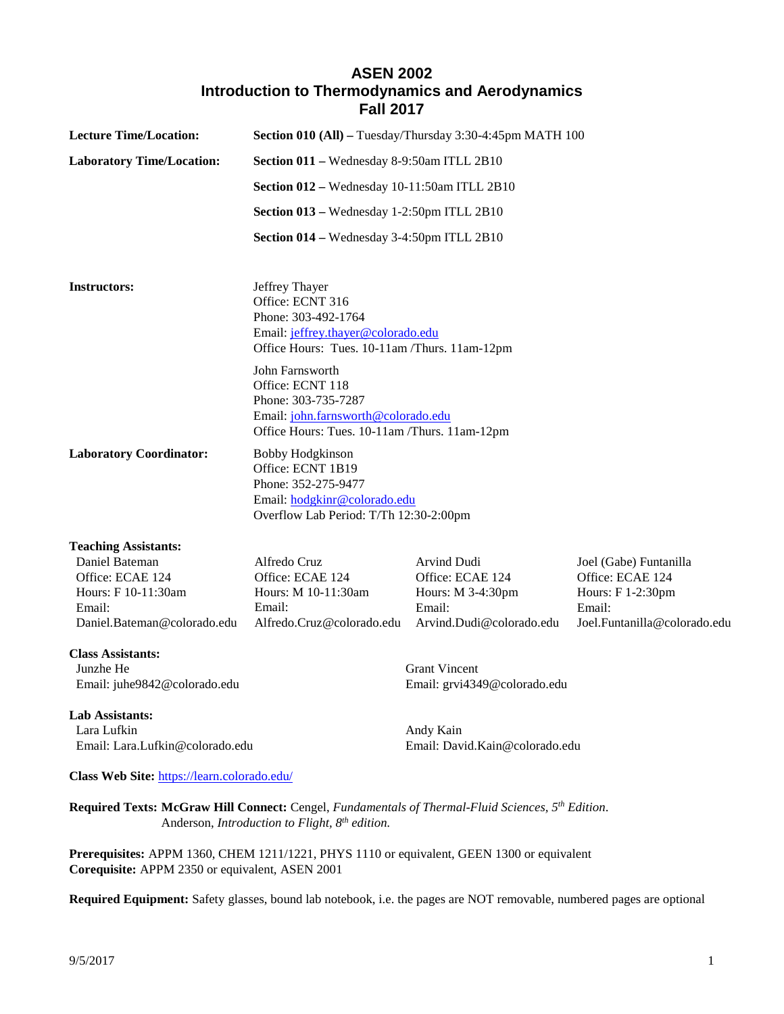# **ASEN 2002 Introduction to Thermodynamics and Aerodynamics Fall 2017**

| <b>Lecture Time/Location:</b>                                                                      | Section 010 (All) - Tuesday/Thursday 3:30-4:45pm MATH 100                                                                                          |                                                                                            |                                                                                                           |
|----------------------------------------------------------------------------------------------------|----------------------------------------------------------------------------------------------------------------------------------------------------|--------------------------------------------------------------------------------------------|-----------------------------------------------------------------------------------------------------------|
| <b>Laboratory Time/Location:</b>                                                                   | Section 011 - Wednesday 8-9:50am ITLL 2B10                                                                                                         |                                                                                            |                                                                                                           |
|                                                                                                    | Section 012 - Wednesday 10-11:50am ITLL 2B10                                                                                                       |                                                                                            |                                                                                                           |
|                                                                                                    | Section 013 - Wednesday 1-2:50pm ITLL 2B10                                                                                                         |                                                                                            |                                                                                                           |
|                                                                                                    | Section 014 - Wednesday 3-4:50pm ITLL 2B10                                                                                                         |                                                                                            |                                                                                                           |
| <b>Instructors:</b>                                                                                | Jeffrey Thayer<br>Office: ECNT 316<br>Phone: 303-492-1764<br>Email: jeffrey.thayer@colorado.edu<br>Office Hours: Tues. 10-11am /Thurs. 11am-12pm   |                                                                                            |                                                                                                           |
|                                                                                                    | John Farnsworth<br>Office: ECNT 118<br>Phone: 303-735-7287<br>Email: john.farnsworth@colorado.edu<br>Office Hours: Tues. 10-11am /Thurs. 11am-12pm |                                                                                            |                                                                                                           |
| <b>Laboratory Coordinator:</b>                                                                     | <b>Bobby Hodgkinson</b><br>Office: ECNT 1B19<br>Phone: 352-275-9477<br>Email: hodgkinr@colorado.edu<br>Overflow Lab Period: T/Th 12:30-2:00pm      |                                                                                            |                                                                                                           |
| <b>Teaching Assistants:</b>                                                                        |                                                                                                                                                    |                                                                                            |                                                                                                           |
| Daniel Bateman<br>Office: ECAE 124<br>Hours: F 10-11:30am<br>Email:<br>Daniel.Bateman@colorado.edu | Alfredo Cruz<br>Office: ECAE 124<br>Hours: M 10-11:30am<br>Email:<br>Alfredo.Cruz@colorado.edu                                                     | Arvind Dudi<br>Office: ECAE 124<br>Hours: M 3-4:30pm<br>Email:<br>Arvind.Dudi@colorado.edu | Joel (Gabe) Funtanilla<br>Office: ECAE 124<br>Hours: F 1-2:30pm<br>Email:<br>Joel.Funtanilla@colorado.edu |
| <b>Class Assistants:</b><br>Junzhe He<br>Email: juhe9842@colorado.edu                              |                                                                                                                                                    | <b>Grant Vincent</b><br>Email: grvi4349@colorado.edu                                       |                                                                                                           |
| <b>Lab Assistants:</b>                                                                             |                                                                                                                                                    |                                                                                            |                                                                                                           |
| Lara Lufkin<br>Email: Lara.Lufkin@colorado.edu                                                     |                                                                                                                                                    | Andy Kain<br>Email: David.Kain@colorado.edu                                                |                                                                                                           |
| Class Web Site: https://learn.colorado.edu/                                                        |                                                                                                                                                    |                                                                                            |                                                                                                           |

**Required Texts: McGraw Hill Connect:** Cengel, *Fundamentals of Thermal-Fluid Sciences, 5th Edition*. Anderson, *Introduction to Flight, 8th edition.* 

**Prerequisites:** APPM 1360, CHEM 1211/1221, PHYS 1110 or equivalent, GEEN 1300 or equivalent **Corequisite:** APPM 2350 or equivalent, ASEN 2001

**Required Equipment:** Safety glasses, bound lab notebook, i.e. the pages are NOT removable, numbered pages are optional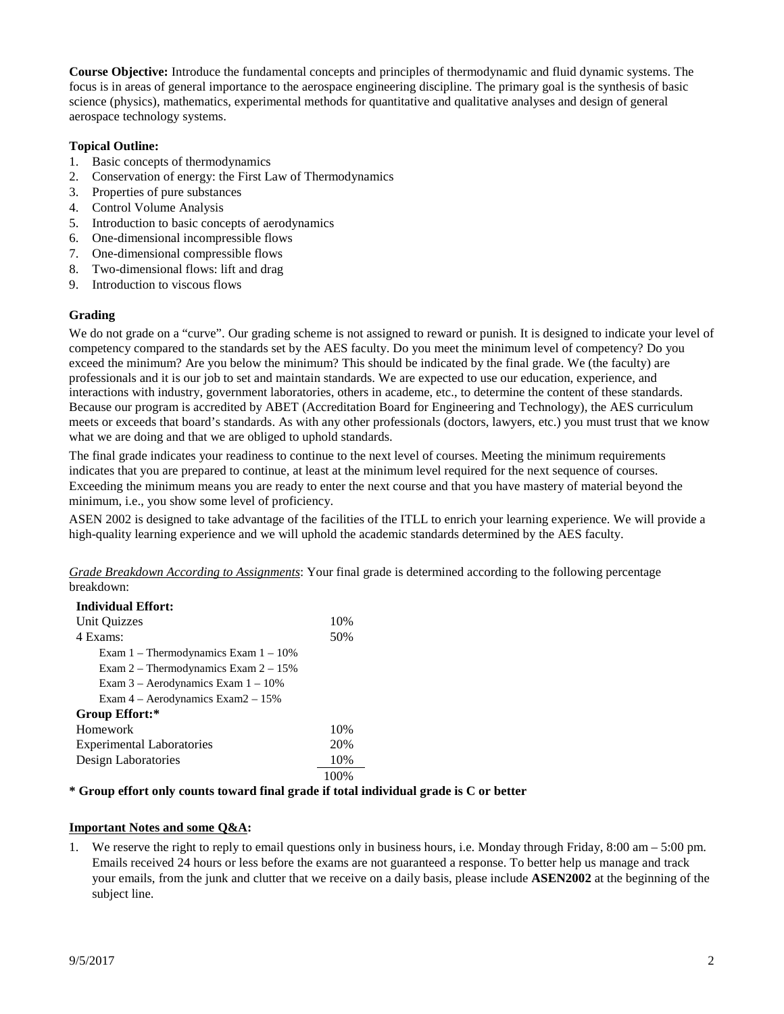**Course Objective:** Introduce the fundamental concepts and principles of thermodynamic and fluid dynamic systems. The focus is in areas of general importance to the aerospace engineering discipline. The primary goal is the synthesis of basic science (physics), mathematics, experimental methods for quantitative and qualitative analyses and design of general aerospace technology systems.

## **Topical Outline:**

- 1. Basic concepts of thermodynamics
- 2. Conservation of energy: the First Law of Thermodynamics
- 3. Properties of pure substances
- 4. Control Volume Analysis
- 5. Introduction to basic concepts of aerodynamics
- 6. One-dimensional incompressible flows
- 7. One-dimensional compressible flows
- 8. Two-dimensional flows: lift and drag
- 9. Introduction to viscous flows

# **Grading**

We do not grade on a "curve". Our grading scheme is not assigned to reward or punish. It is designed to indicate your level of competency compared to the standards set by the AES faculty. Do you meet the minimum level of competency? Do you exceed the minimum? Are you below the minimum? This should be indicated by the final grade. We (the faculty) are professionals and it is our job to set and maintain standards. We are expected to use our education, experience, and interactions with industry, government laboratories, others in academe, etc., to determine the content of these standards. Because our program is accredited by ABET (Accreditation Board for Engineering and Technology), the AES curriculum meets or exceeds that board's standards. As with any other professionals (doctors, lawyers, etc.) you must trust that we know what we are doing and that we are obliged to uphold standards.

The final grade indicates your readiness to continue to the next level of courses. Meeting the minimum requirements indicates that you are prepared to continue, at least at the minimum level required for the next sequence of courses. Exceeding the minimum means you are ready to enter the next course and that you have mastery of material beyond the minimum, i.e., you show some level of proficiency.

ASEN 2002 is designed to take advantage of the facilities of the ITLL to enrich your learning experience. We will provide a high-quality learning experience and we will uphold the academic standards determined by the AES faculty.

*Grade Breakdown According to Assignments*: Your final grade is determined according to the following percentage breakdown:

### **Individual Effort:**

| Unit Quizzes                              | 10%  |
|-------------------------------------------|------|
| 4 Exams:                                  | 50%  |
| Exam $1$ – Thermodynamics Exam $1 - 10\%$ |      |
| Exam $2 -$ Thermodynamics Exam $2 - 15\%$ |      |
| Exam $3 -$ Aerodynamics Exam $1 - 10\%$   |      |
| Exam $4 -$ Aerodynamics Exam $2 - 15\%$   |      |
| Group Effort:*                            |      |
| Homework                                  | 10%  |
| <b>Experimental Laboratories</b>          | 20%  |
| Design Laboratories                       | 10%  |
|                                           | 100% |

### **\* Group effort only counts toward final grade if total individual grade is C or better**

# **Important Notes and some Q&A:**

1. We reserve the right to reply to email questions only in business hours, i.e. Monday through Friday, 8:00 am – 5:00 pm. Emails received 24 hours or less before the exams are not guaranteed a response. To better help us manage and track your emails, from the junk and clutter that we receive on a daily basis, please include **ASEN2002** at the beginning of the subject line.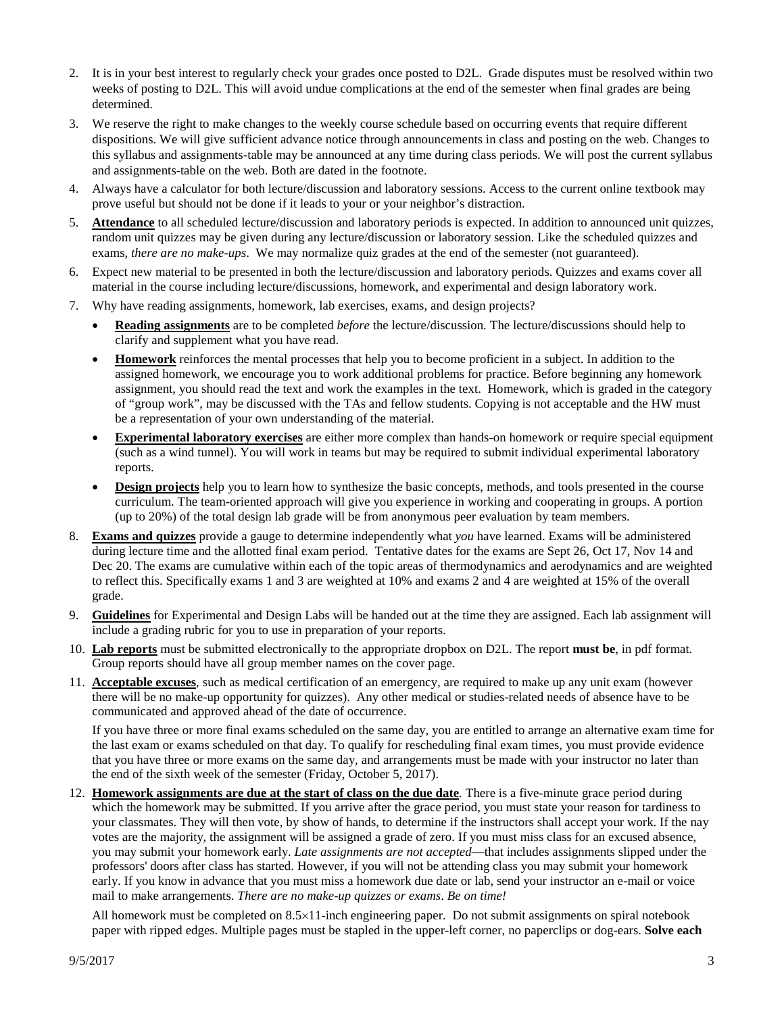- 2. It is in your best interest to regularly check your grades once posted to D2L. Grade disputes must be resolved within two weeks of posting to D2L. This will avoid undue complications at the end of the semester when final grades are being determined.
- 3. We reserve the right to make changes to the weekly course schedule based on occurring events that require different dispositions. We will give sufficient advance notice through announcements in class and posting on the web. Changes to this syllabus and assignments-table may be announced at any time during class periods. We will post the current syllabus and assignments-table on the web. Both are dated in the footnote.
- 4. Always have a calculator for both lecture/discussion and laboratory sessions. Access to the current online textbook may prove useful but should not be done if it leads to your or your neighbor's distraction.
- 5. **Attendance** to all scheduled lecture/discussion and laboratory periods is expected. In addition to announced unit quizzes, random unit quizzes may be given during any lecture/discussion or laboratory session. Like the scheduled quizzes and exams, *there are no make-ups*. We may normalize quiz grades at the end of the semester (not guaranteed).
- 6. Expect new material to be presented in both the lecture/discussion and laboratory periods. Quizzes and exams cover all material in the course including lecture/discussions, homework, and experimental and design laboratory work.
- 7. Why have reading assignments, homework, lab exercises, exams, and design projects?
	- **Reading assignments** are to be completed *before* the lecture/discussion. The lecture/discussions should help to clarify and supplement what you have read.
	- **Homework** reinforces the mental processes that help you to become proficient in a subject. In addition to the assigned homework, we encourage you to work additional problems for practice. Before beginning any homework assignment, you should read the text and work the examples in the text. Homework, which is graded in the category of "group work", may be discussed with the TAs and fellow students. Copying is not acceptable and the HW must be a representation of your own understanding of the material.
	- **Experimental laboratory exercises** are either more complex than hands-on homework or require special equipment (such as a wind tunnel). You will work in teams but may be required to submit individual experimental laboratory reports.
	- **Design projects** help you to learn how to synthesize the basic concepts, methods, and tools presented in the course curriculum. The team-oriented approach will give you experience in working and cooperating in groups. A portion (up to 20%) of the total design lab grade will be from anonymous peer evaluation by team members.
- 8. **Exams and quizzes** provide a gauge to determine independently what *you* have learned. Exams will be administered during lecture time and the allotted final exam period. Tentative dates for the exams are Sept 26, Oct 17, Nov 14 and Dec 20. The exams are cumulative within each of the topic areas of thermodynamics and aerodynamics and are weighted to reflect this. Specifically exams 1 and 3 are weighted at 10% and exams 2 and 4 are weighted at 15% of the overall grade.
- 9. **Guidelines** for Experimental and Design Labs will be handed out at the time they are assigned. Each lab assignment will include a grading rubric for you to use in preparation of your reports.
- 10. **Lab reports** must be submitted electronically to the appropriate dropbox on D2L. The report **must be**, in pdf format. Group reports should have all group member names on the cover page.
- 11. **Acceptable excuses**, such as medical certification of an emergency, are required to make up any unit exam (however there will be no make-up opportunity for quizzes). Any other medical or studies-related needs of absence have to be communicated and approved ahead of the date of occurrence.

If you have three or more final exams scheduled on the same day, you are entitled to arrange an alternative exam time for the last exam or exams scheduled on that day. To qualify for rescheduling final exam times, you must provide evidence that you have three or more exams on the same day, and arrangements must be made with your instructor no later than the end of the sixth week of the semester (Friday, October 5, 2017).

12. **Homework assignments are due at the start of class on the due date***.* There is a five-minute grace period during which the homework may be submitted. If you arrive after the grace period, you must state your reason for tardiness to your classmates. They will then vote, by show of hands, to determine if the instructors shall accept your work. If the nay votes are the majority, the assignment will be assigned a grade of zero. If you must miss class for an excused absence, you may submit your homework early. *Late assignments are not accepted*—that includes assignments slipped under the professors' doors after class has started. However, if you will not be attending class you may submit your homework early. If you know in advance that you must miss a homework due date or lab, send your instructor an e-mail or voice mail to make arrangements. *There are no make-up quizzes or exams*. *Be on time!*

All homework must be completed on 8.5×11-inch engineering paper. Do not submit assignments on spiral notebook paper with ripped edges. Multiple pages must be stapled in the upper-left corner, no paperclips or dog-ears. **Solve each**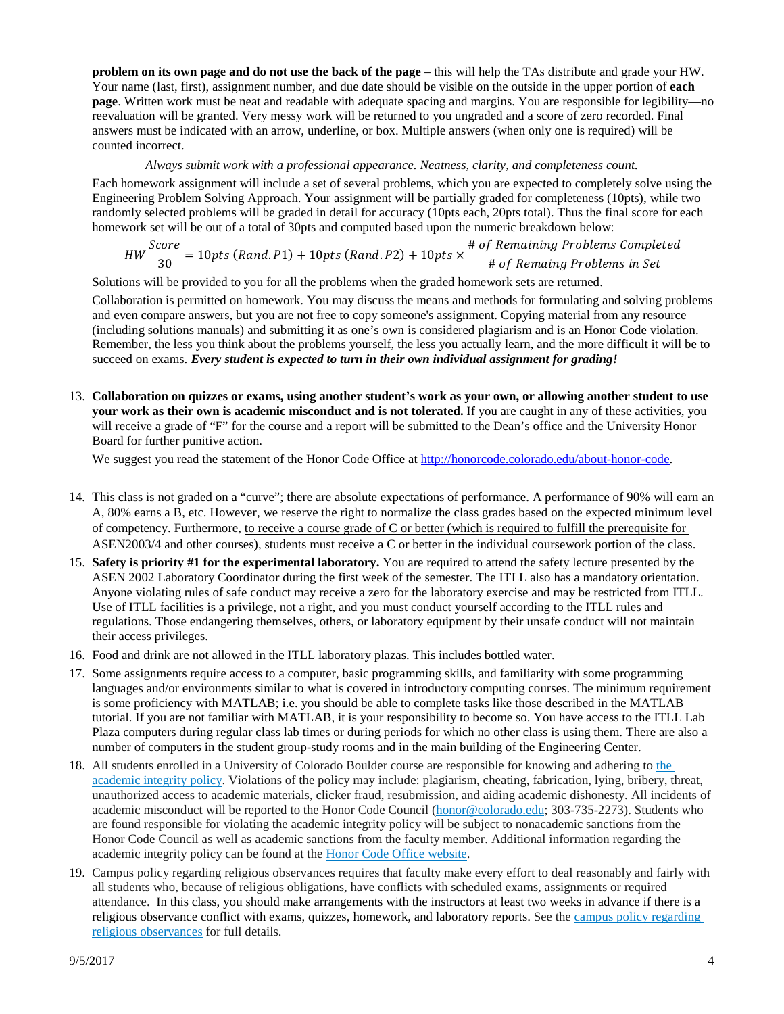**problem on its own page and do not use the back of the page** – this will help the TAs distribute and grade your HW. Your name (last, first), assignment number, and due date should be visible on the outside in the upper portion of **each page**. Written work must be neat and readable with adequate spacing and margins. You are responsible for legibility—no reevaluation will be granted. Very messy work will be returned to you ungraded and a score of zero recorded. Final answers must be indicated with an arrow, underline, or box. Multiple answers (when only one is required) will be counted incorrect.

#### *Always submit work with a professional appearance. Neatness, clarity, and completeness count.*

Each homework assignment will include a set of several problems, which you are expected to completely solve using the Engineering Problem Solving Approach. Your assignment will be partially graded for completeness (10pts), while two randomly selected problems will be graded in detail for accuracy (10pts each, 20pts total). Thus the final score for each homework set will be out of a total of 30pts and computed based upon the numeric breakdown below:

$$
HW \frac{Score}{30} = 10pts (Rand.P1) + 10pts (Rand.P2) + 10pts \times \frac{\# of Remaining Problems Completed}{\# of Remain problems in Set}
$$

Solutions will be provided to you for all the problems when the graded homework sets are returned.

Collaboration is permitted on homework. You may discuss the means and methods for formulating and solving problems and even compare answers, but you are not free to copy someone's assignment. Copying material from any resource (including solutions manuals) and submitting it as one's own is considered plagiarism and is an Honor Code violation. Remember, the less you think about the problems yourself, the less you actually learn, and the more difficult it will be to succeed on exams. *Every student is expected to turn in their own individual assignment for grading!*

13. **Collaboration on quizzes or exams, using another student's work as your own, or allowing another student to use your work as their own is academic misconduct and is not tolerated.** If you are caught in any of these activities, you will receive a grade of "F" for the course and a report will be submitted to the Dean's office and the University Honor Board for further punitive action.

We suggest you read the statement of the Honor Code Office a[t http://honorcode.colorado.edu/about-honor-code.](http://honorcode.colorado.edu/about-honor-code)

- 14. This class is not graded on a "curve"; there are absolute expectations of performance. A performance of 90% will earn an A, 80% earns a B, etc. However, we reserve the right to normalize the class grades based on the expected minimum level of competency. Furthermore, to receive a course grade of C or better (which is required to fulfill the prerequisite for ASEN2003/4 and other courses), students must receive a C or better in the individual coursework portion of the class.
- 15. **Safety is priority #1 for the experimental laboratory.** You are required to attend the safety lecture presented by the ASEN 2002 Laboratory Coordinator during the first week of the semester. The ITLL also has a mandatory orientation. Anyone violating rules of safe conduct may receive a zero for the laboratory exercise and may be restricted from ITLL. Use of ITLL facilities is a privilege, not a right, and you must conduct yourself according to the ITLL rules and regulations. Those endangering themselves, others, or laboratory equipment by their unsafe conduct will not maintain their access privileges.
- 16. Food and drink are not allowed in the ITLL laboratory plazas. This includes bottled water.
- 17. Some assignments require access to a computer, basic programming skills, and familiarity with some programming languages and/or environments similar to what is covered in introductory computing courses. The minimum requirement is some proficiency with MATLAB; i.e. you should be able to complete tasks like those described in the MATLAB tutorial. If you are not familiar with MATLAB, it is your responsibility to become so. You have access to the ITLL Lab Plaza computers during regular class lab times or during periods for which no other class is using them. There are also a number of computers in the student group-study rooms and in the main building of the Engineering Center.
- 18. All students enrolled in a University of Colorado Boulder course are responsible for knowing and adhering to [the](http://www.colorado.edu/policies/academic-integrity-policy) [academic](http://www.colorado.edu/policies/academic-integrity-policy) integrity policy. Violations of the policy may include: plagiarism, cheating, fabrication, lying, bribery, threat, unauthorized access to academic materials, clicker fraud, resubmission, and aiding academic dishonesty. All incidents of academic misconduct will be reported to the Honor Code Council [\(honor@colorado.edu;](mailto:honor@colorado.edu) 303-735-2273). Students who are found responsible for violating the academic integrity policy will be subject to nonacademic sanctions from the Honor Code Council as well as academic sanctions from the faculty member. Additional information regarding the academic integrity policy can be found at the Honor Code Office [website.](http://www.colorado.edu/honorcode/)
- 19. Campus policy regarding religious observances requires that faculty make every effort to deal reasonably and fairly with all students who, because of religious obligations, have conflicts with scheduled exams, assignments or required attendance. In this class, you should make arrangements with the instructors at least two weeks in advance if there is a religious observance conflict with exams, quizzes, homework, and laboratory reports. See the campus policy [regarding](http://www.colorado.edu/policies/observance-religious-holidays-and-absences-classes-andor-exams) religious [observances](http://www.colorado.edu/policies/observance-religious-holidays-and-absences-classes-andor-exams) for full details.